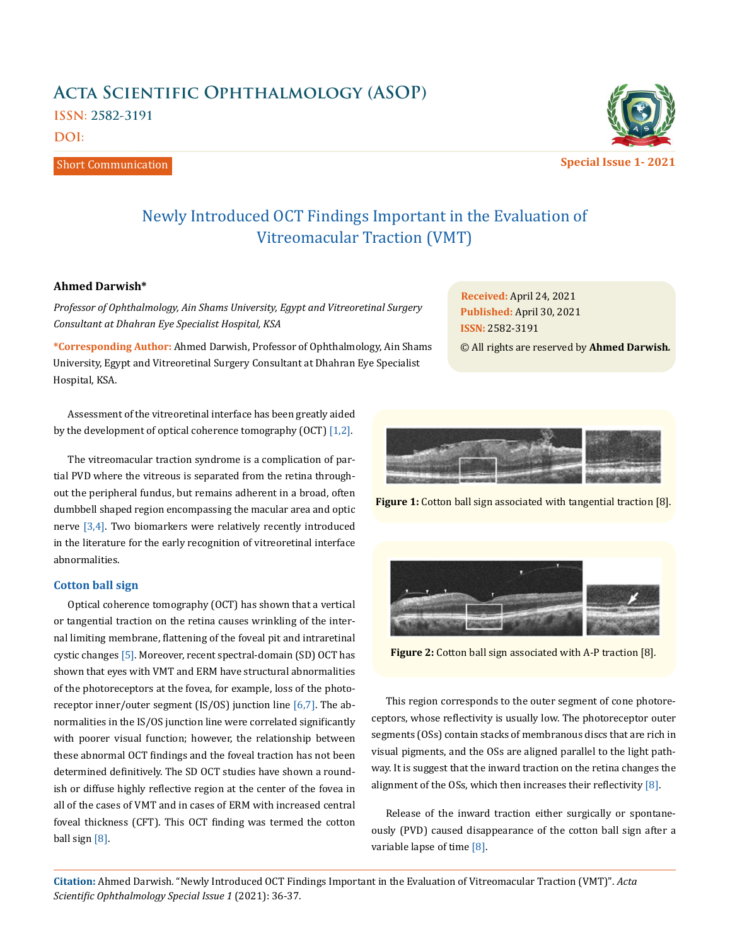# **Acta Scientific Ophthalmology (ASOP) ISSN: 2582-3191 DOI:**

Short Communication



**Special Issue 1- 2021**

## Newly Introduced OCT Findings Important in the Evaluation of Vitreomacular Traction (VMT)

## **Ahmed Darwish\***

*Professor of Ophthalmology, Ain Shams University, Egypt and Vitreoretinal Surgery Consultant at Dhahran Eye Specialist Hospital, KSA*

**\*Corresponding Author:** Ahmed Darwish, Professor of Ophthalmology, Ain Shams University, Egypt and Vitreoretinal Surgery Consultant at Dhahran Eye Specialist Hospital, KSA.

Assessment of the vitreoretinal interface has been greatly aided by the development of optical coherence tomography (OCT) [1,2].

The vitreomacular traction syndrome is a complication of partial PVD where the vitreous is separated from the retina throughout the peripheral fundus, but remains adherent in a broad, often dumbbell shaped region encompassing the macular area and optic nerve  $[3,4]$ . Two biomarkers were relatively recently introduced in the literature for the early recognition of vitreoretinal interface abnormalities.

#### **Cotton ball sign**

Optical coherence tomography (OCT) has shown that a vertical or tangential traction on the retina causes wrinkling of the internal limiting membrane, flattening of the foveal pit and intraretinal cystic changes [5]. Moreover, recent spectral-domain (SD) OCT has shown that eyes with VMT and ERM have structural abnormalities of the photoreceptors at the fovea, for example, loss of the photoreceptor inner/outer segment (IS/OS) junction line  $[6,7]$ . The abnormalities in the IS/OS junction line were correlated significantly with poorer visual function; however, the relationship between these abnormal OCT findings and the foveal traction has not been determined definitively. The SD OCT studies have shown a roundish or diffuse highly reflective region at the center of the fovea in all of the cases of VMT and in cases of ERM with increased central foveal thickness (CFT). This OCT finding was termed the cotton ball sign [8].

**Received:** April 24, 2021 **Published:** April 30, 2021 **ISSN:** 2582-3191

© All rights are reserved by **Ahmed Darwish***.*



**Figure 1:** Cotton ball sign associated with tangential traction [8].



**Figure 2:** Cotton ball sign associated with A-P traction [8].

This region corresponds to the outer segment of cone photoreceptors, whose reflectivity is usually low. The photoreceptor outer segments (OSs) contain stacks of membranous discs that are rich in visual pigments, and the OSs are aligned parallel to the light pathway. It is suggest that the inward traction on the retina changes the alignment of the OSs, which then increases their reflectivity  $[8]$ .

Release of the inward traction either surgically or spontaneously (PVD) caused disappearance of the cotton ball sign after a variable lapse of time [8].

**Citation:** Ahmed Darwish*.* "Newly Introduced OCT Findings Important in the Evaluation of Vitreomacular Traction (VMT)". *Acta Scientific Ophthalmology Special Issue 1* (2021): 36-37.